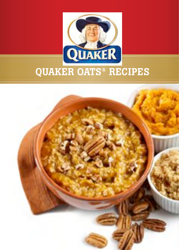

# **QUAKER OATS® RECIPES**

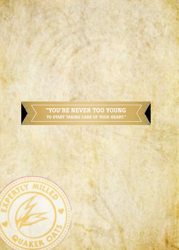# "YOU'RE NEVER TOO YOUNG<br>TO START TAKING CARE OF YOUR HEART."

 $\overline{\mathcal{A}}$ 

 $\sum$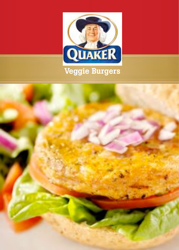

## Veggie Burgers

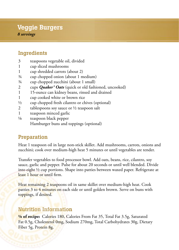## Veggie Burgers

*8 servings*

### Ingredients

- 3 teaspoons vegetable oil, divided
- 1 cup sliced mushrooms
- 1 cup shredded carrots (about 2)
- ¾ cup chopped onion (about 1 medium)
- ¾ cup chopped zucchini (about 1 small)
- 2 cups *Quaker® Oats* (quick or old fashioned, uncooked)
- 1 15-ounce can kidney beans, rinsed and drained
- 1 cup cooked white or brown rice
- $\frac{1}{2}$  cup chopped fresh cilantro or chives (optional)
- 2 tablespoons soy sauce or  $\frac{1}{2}$  teaspoon salt
- 1 teaspoon minced garlic
- ⅛ teaspoon black pepper
	- Hamburger buns and toppings (optional)

#### Preparation

Heat 1 teaspoon oil in large non-stick skillet. Add mushrooms, carrots, onions and zucchini; cook over medium-high heat 5 minutes or until vegetables are tender.

Transfer vegetables to food processor bowl. Add oats, beans, rice, cilantro, soy sauce, garlic and pepper. Pulse for about 20 seconds or until well blended. Divide into eight ½ cup portions. Shape into patties between waxed paper. Refrigerate at least 1 hour or until firm.

Heat remaining 2 teaspoons oil in same skillet over medium-high heat. Cook patties 3 to 4 minutes on each side or until golden brown. Serve on buns with toppings, if desired.

## Nutrition Information

**⅛ of recipe:** Calories 180, Calories From Fat 35, Total Fat 3.5g, Saturated Fat 0.5g, Cholesterol 0mg, Sodium 270mg, Total Carbohydrates 30g, Dietary Fiber 5g, Protein 8g.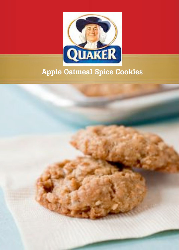

## **Apple Oatmeal Spice Cookies**

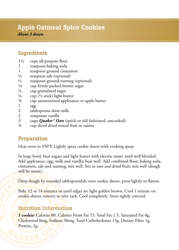## Apple Oatmeal Spice Cookies

*About 3 dozen*

## Ingredients

- $1\frac{1}{2}$  cups all-purpose flour
- 1 teaspoon baking soda
- 1 teaspoon ground cinnamon
- $\frac{1}{2}$  teaspoon salt (optional)<br> $\frac{1}{4}$  teaspoon ground nutme
- teaspoon ground nutmeg (optional)
- $\frac{2}{3}$  cup firmly packed brown sugar
- <sup>1/4</sup> cup granulated sugar<br><sup>1/4</sup> cup <sup>(1/3</sup> stick) light by
- cup ( $\frac{1}{2}$  stick) light butter
- ¾ cup unsweetened applesauce or apple butter
- $\frac{1}{2}$  egg
- tablespoons skim milk
- 2 teaspoons vanilla
- 3 cups *Quaker® Oats* (quick or old fashioned, uncooked)
- ¾ cup diced dried mixed fruit or raisins

## Preparation

Heat oven to 350°F. Lightly spray cookie sheets with cooking spray.

In large bowl, beat sugars and light butter with electric mixer until well blended. Add applesauce, egg, milk and vanilla; beat well. Add combined flour, baking soda, cinnamon, salt and nutmeg; mix well. Stir in oats and dried fruit; mix well (dough will be moist).

Drop dough by rounded tablespoonfuls onto cookie sheets, press lightly to flatten.

Bake 12 to 14 minutes or until edges are light golden brown. Cool 1 minute on cookie sheets; remove to wire rack. Cool completely. Store tightly covered.

## Nutrition Information

**1 cookie:** Calories 80, Calories From Fat 15, Total Fat 1.5, Saturated Fat 0g, Cholesterol 0mg, Sodium 50mg, Total Carbohydrates 15g, Dietary Fiber 1g, Protein, 2g.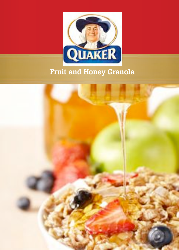

## **Fruit and Honey Granola**

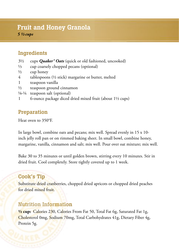## Fruit and Honey Granola

*5 ½ cups*

## Ingredients

- 3½ cups *Quaker® Oats* (quick or old fashioned, uncooked)
- ⅓ cup coarsely chopped pecans (optional)
- $\frac{1}{2}$  cup honey
- 4 tablespoons  $(\frac{1}{2}$  stick) margarine or butter, melted
- 1 teaspoon vanilla
- ½ teaspoon ground cinnamon
- ⅛-¼ teaspoon salt (optional)
- 1 6-ounce package diced dried mixed fruit (about 1⅓ cups)

#### Preparation

Heat oven to 350°F.

In large bowl, combine oats and pecans; mix well. Spread evenly in 15 x 10 inch jelly roll pan or on rimmed baking sheet. In small bowl, combine honey, margarine, vanilla, cinnamon and salt; mix well. Pour over oat mixture; mix well.

Bake 30 to 35 minutes or until golden brown, stirring every 10 minutes. Stir in dried fruit. Cool completely. Store tightly covered up to 1 week.

#### Cook's Tip

Substitute dried cranberries, chopped dried apricots or chopped dried peaches for dried mixed fruit.

#### Nutrition Information

**½ cup:** Calories 230, Calories From Fat 50, Total Fat 6g, Saturated Fat 1g, Cholesterol 0mg, Sodium 70mg, Total Carbohydrates 41g, Dietary Fiber 4g, Protein 5g.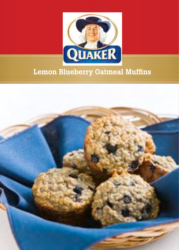

## **Lemon Blueberry Oatmeal Muffins**

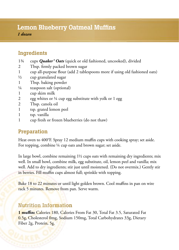## Lemon Blueberry Oatmeal Muffins

*1 dozen*

## Ingredients

- 1¾ cups *Quaker® Oats* (quick or old fashioned, uncooked), divided
- 2 Tbsp. firmly packed brown sugar
- 1 cup all-purpose flour (add 2 tablespoons more if using old fashioned oats)
- ½ cup granulated sugar
- 1 Tbsp. baking powder
- ¼ teaspoon salt (optional)
- 1 cup skim milk
- 2 egg whites or ¼ cup egg substitute with yolk or 1 egg
- 2 Tbsp. canola oil
- 1 tsp. grated lemon peel
- 1 tsp. vanilla
- 1 cup fresh or frozen blueberries (do not thaw)

## Preparation

Heat oven to 400°F. Spray 12 medium muffin cups with cooking spray; set aside. For topping, combine ¼ cup oats and brown sugar; set aside.

In large bowl, combine remaining  $1\frac{1}{2}$  cups oats with remaining dry ingredients; mix well. In small bowl, combine milk, egg substitute, oil, lemon peel and vanilla; mix well. Add to dry ingredients; stir just until moistened. (Do not overmix.) Gently stir in berries. Fill muffin cups almost full; sprinkle with topping.

Bake 18 to 22 minutes or until light golden brown. Cool muffins in pan on wire rack 5 minutes. Remove from pan. Serve warm.

## Nutrition Information

**1 mu#n:** Calories 180, Calories From Fat 30, Total Fat 3.5, Saturated Fat 0.5g, Cholesterol 0mg, Sodium 150mg, Total Carbohydrates 33g, Dietary Fiber 2g, Protein, 5g.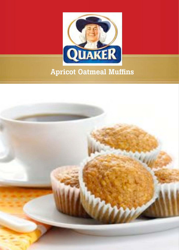

## **Apricot Oatmeal Muffins**

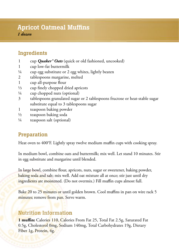## Apricot Oatmeal Muffins

*1 dozen*

## Ingredients

- 1 cup *Quaker® Oats* (quick or old fashioned, uncooked)
- 1 cup low-fat buttermilk
- $\frac{1}{4}$  cup egg substitute or 2 egg whites, lightly beaten
- 2 tablespoons margarine, melted
- 1 cup all-purpose flour
- 1/3 cup finely chopped dried apricots
- $\frac{1}{4}$  cup chopped nuts (optional)
- 3 tablespoons granulated sugar or 2 tablespoons fructose or heat-stable sugar substitute equal to 3 tablespoons sugar
- 1 teaspoon baking powder
- ½ teaspoon baking soda
- ¼ teaspoon salt (optional)

## Preparation

Heat oven to 400°F. Lightly spray twelve medium muffin cups with cooking spray.

In medium bowl, combine oats and buttermilk; mix well. Let stand 10 minutes. Stir in egg substitute and margarine until blended.

In large bowl, combine flour, apricots, nuts, sugar or sweetener, baking powder, baking soda and salt; mix well. Add oat mixture all at once; stir just until dry ingredients are moistened. (Do not overmix.) Fill muffin cups almost full.

Bake 20 to 25 minutes or until golden brown. Cool muffins in pan on wire rack 5 minutes; remove from pan. Serve warm.

## Nutrition Information

**1 mu#n:** Calories 110, Calories From Fat 25, Total Fat 2.5g, Saturated Fat 0.5g, Cholesterol 0mg, Sodium 140mg, Total Carbohydrates 19g, Dietary Fiber 1g, Protein, 4g.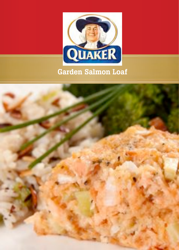

## Garden Salmon Loaf

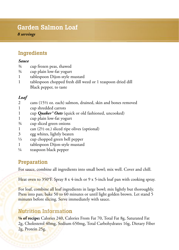## Garden Salmon Loaf

*8 servings*

## Ingredients

#### *Sauce*

- ¾ cup frozen peas, thawed
- ¾ cup plain low-fat yogurt
- 1 tablespoon Dijon-style mustard
- 1 tablespoon chopped fresh dill weed or 1 teaspoon dried dill Black pepper, to taste

#### *Loaf*

- 2 cans (15½ oz. each) salmon, drained, skin and bones removed
- 1 cup shredded carrots
- 1 cup *Quaker® Oats* (quick or old fashioned, uncooked)
- 1 cup plain low-fat yogurt
- ¾ cup sliced green onions
- 1 can  $(2\frac{1}{2}$  oz.) sliced ripe olives (optional)
- 3 egg whites, lightly beaten
- ⅓ cup chopped green bell pepper
- 1 tablespoon Dijon-style mustard
- ¼ teaspoon black pepper

## Preparation

For sauce, combine all ingredients into small bowl; mix well. Cover and chill.

Heat oven to 350°F. Spray 8 x 4-inch or 9 x 5-inch loaf pan with cooking spray.

For loaf, combine all loaf ingredients in large bowl; mix lightly but thoroughly. Press into pan; bake 50 to 60 minutes or until light golden brown. Let stand 5 minutes before slicing. Serve immediately with sauce.

## Nutrition Information

**⅛ of recipe:** Calories 240, Calories From Fat 70, Total Fat 8g, Saturated Fat 2g, Cholesterol 40mg, Sodium 650mg, Total Carbohydrates 16g, Dietary Fiber 2g, Protein 25g.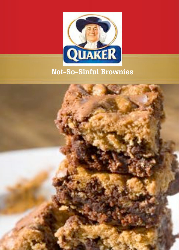

## Not-So-Sinful Brownies

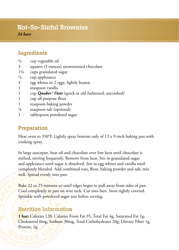## Not-So-Sinful Brownies

*24 bars*

## Ingredients

- ¼ cup vegetable oil
- 3 squares (3 ounces) unsweetened chocolate
- 1¼ cups granulated sugar
- ½ cup applesauce
- 4 egg whites or 2 eggs, lightly beaten
- 1 teaspoon vanilla
- 1 cup *Quaker® Oats* (quick or old fashioned, uncooked)
- 1 cup all-purpose flour
- 1 teaspoon baking powder
- ¼ teaspoon salt (optional)
- 1 tablespoon powdered sugar

#### **Preparation**

Heat oven to 350°F. Lightly spray bottom only of 13 x 9-inch baking pan with cooking spray.

In large saucepan, heat oil and chocolate over low heat until chocolate is melted, stirring frequently. Remove from heat. Stir in granulated sugar and applesauce until sugar is dissolved. Stir in egg whites and vanilla until completely blended. Add combined oats, flour, baking powder and salt; mix well. Spread evenly into pan.

Bake 22 to 25 minutes or until edges begin to pull away from sides of pan. Cool completely in pan on wire rack. Cut into bars. Store tightly covered. Sprinkle with powdered sugar just before serving.

#### Nutrition Information

**1 bar:** Calories 120, Calories From Fat 35, Total Fat 4g, Saturated Fat 1g, Cholesterol 0mg, Sodium 30mg, Total Carbohydrates 20g, Dietary Fiber 1g, Protein, 2g.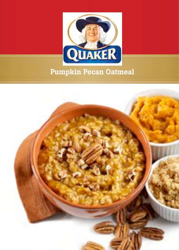

## **Pumpkin Pecan Oatmeal**

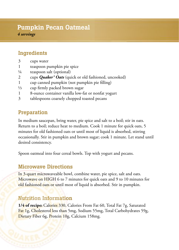## Pumpkin Pecan Oatmeal

*4 servings*

## Ingredients

- 3 cups water
- 1 teaspoon pumpkin pie spice
- ¼ teaspoon salt (optional)
- 2 cups *Quaker® Oats* (quick or old fashioned, uncooked)
- 1 cup canned pumpkin (not pumpkin pie filling)
- $\frac{1}{3}$  cup firmly packed brown sugar
- 1 8-ounce container vanilla low-fat or nonfat yogurt
- 3 tablespoons coarsely chopped toasted pecans

## Preparation

In medium saucepan, bring water, pie spice and salt to a boil; stir in oats. Return to a boil; reduce heat to medium. Cook 1 minute for quick oats, 5 minutes for old fashioned oats or until most of liquid is absorbed, stirring occasionally. Stir in pumpkin and brown sugar; cook 1 minute. Let stand until desired consistency.

Spoon oatmeal into four cereal bowls. Top with yogurt and pecans.

## Microwave Directions

In 3-quart microwaveable bowl, combine water, pie spice, salt and oats. Microwave on HIGH 6 to 7 minutes for quick oats and 9 to 10 minutes for old fashioned oats or until most of liquid is absorbed. Stir in pumpkin.

## Nutrition Information

**1/4 of recipe:** Calories 330, Calories From Fat 60, Total Fat 7g, Saturated Fat 1g, Cholesterol less than 5mg, Sodium 55mg, Total Carbohydrates 59g, Dietary Fiber 6g, Protein 10g, Calcium 158mg.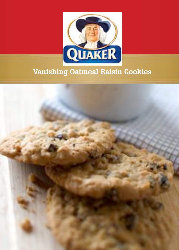

## Vanishing Oatmeal Raisin Cookies

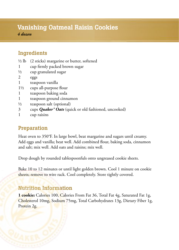## Vanishing Oatmeal Raisin Cookies

*4 dozen*

## Ingredients

- $\frac{1}{2}$  lb (2 sticks) margarine or butter, softened
- 1 cup firmly packed brown sugar
- ½ cup granulated sugar
- 2 eggs
- 1 teaspoon vanilla
- $1\frac{1}{2}$  cups all-purpose flour
- 1 teaspoon baking soda
- 1 teaspoon ground cinnamon
- ½ teaspoon salt (optional)
- 3 cups *Quaker® Oats* (quick or old fashioned, uncooked)
- 1 cup raisins

## Preparation

Heat oven to 350°F. In large bowl, beat margarine and sugars until creamy. Add eggs and vanilla; beat well. Add combined flour, baking soda, cinnamon and salt; mix well. Add oats and raisins; mix well.

Drop dough by rounded tablespoonfuls onto ungreased cookie sheets.

Bake 10 to 12 minutes or until light golden brown. Cool 1 minute on cookie sheets; remove to wire rack. Cool completely. Store tightly covered.

#### Nutrition Information

**1 cookie:** Calories 100, Calories From Fat 36, Total Fat 4g, Saturated Fat 1g, Cholesterol 10mg, Sodium 75mg, Total Carbohydrates 13g, Dietary Fiber 1g, Protein 2g.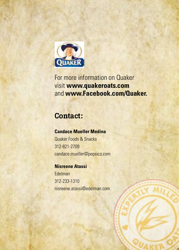

For more information on Quaker visit www.quakeroats.com and www.Facebook.com/Quaker.

## **Contact:**

## **Candace Mueller Medina**

Quaker Foods & Spacks 312-821-2709 candace.mueller@pepsico.com

### **Nisreene Atassi**

Edelman 312-233-1310 nisreene.atassi@edelman.com